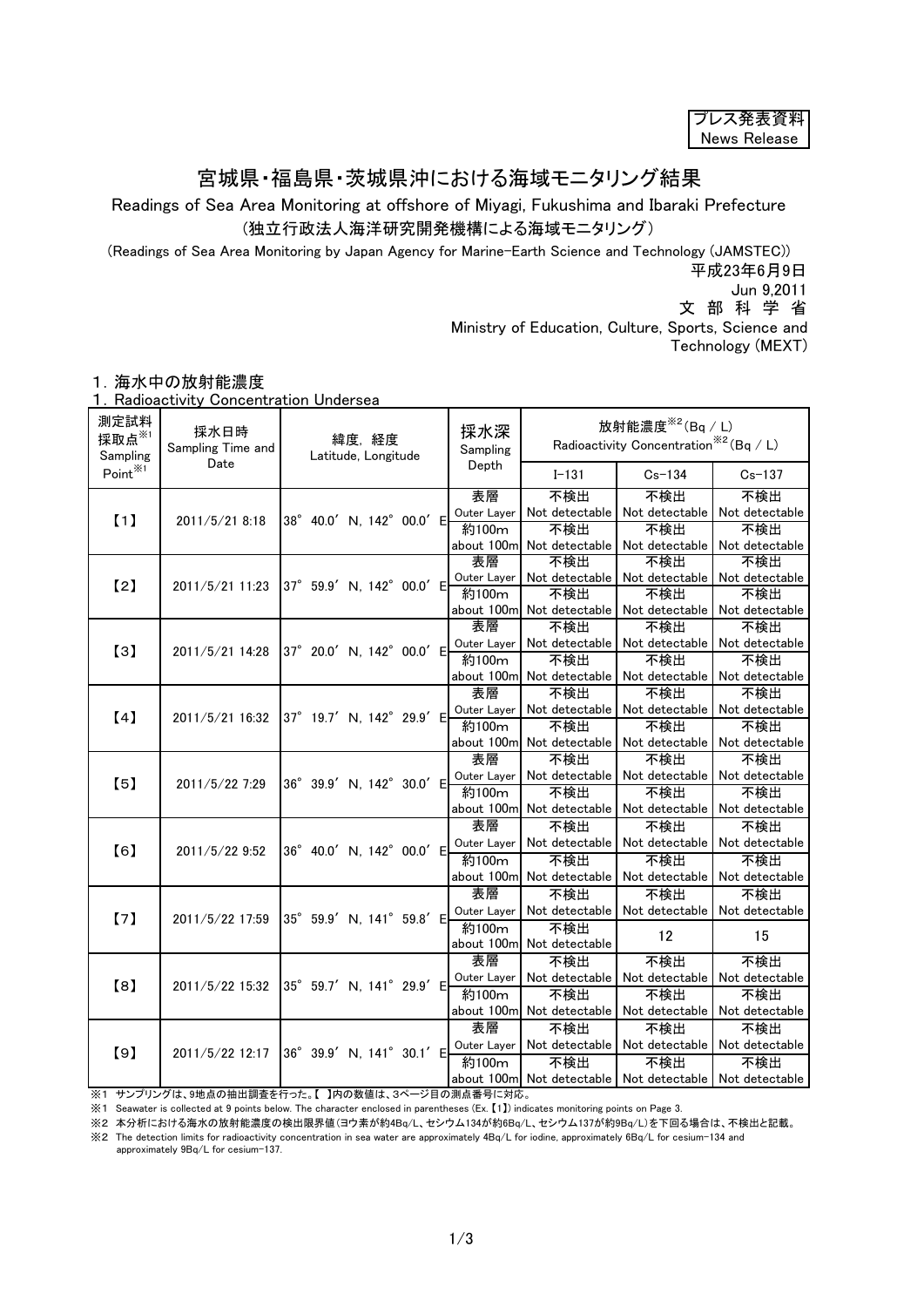1/3



## 宮城県・福島県・茨城県沖における海域モニタリング結果

Readings of Sea Area Monitoring at offshore of Miyagi, Fukushima and Ibaraki Prefecture (独立行政法人海洋研究開発機構による海域モニタリング)

Ministry of Education, Culture, Sports, Science and Jun 9,2011 平成23年6月9日 文 部 科 学 省 (Readings of Sea Area Monitoring by Japan Agency for Marine-Earth Science and Technology (JAMSTEC))

Technology (MEXT)

## 1.海水中の放射能濃度

1. Radioactivity Concentration Undersea

| 測定試料<br>採取点 $*1$<br>Sampling | 採水日時<br>Sampling Time and<br>Date | 緯度,経度<br>Latitude, Longitude  | 採水深<br>Sampling<br>Depth | 放射能濃度 $*$ <sup>2</sup> (Bq / L)<br>Radioactivity Concentration <sup>**2</sup> (Bq / L) |                               |                       |
|------------------------------|-----------------------------------|-------------------------------|--------------------------|----------------------------------------------------------------------------------------|-------------------------------|-----------------------|
| Point <sup>※1</sup>          |                                   |                               |                          | $I - 131$                                                                              | $Cs - 134$                    | $Cs - 137$            |
| [1]                          | 2011/5/21 8:18                    |                               | 表層                       | 不検出                                                                                    | 不検出                           | 不検出                   |
|                              |                                   | 38° 40.0' N. 142° 00.0' E     | Outer Layer              | Not detectable                                                                         | Not detectable                | Not detectable        |
|                              |                                   |                               | 約100m                    | 不検出                                                                                    | 不検出                           | 不検出                   |
|                              |                                   |                               | about 100m               | Not detectable                                                                         | Not detectable                | Not detectable        |
| [2]                          | 2011/5/21 11:23                   |                               | 表層                       | 不検出                                                                                    | 不検出                           | 不検出                   |
|                              |                                   | 37° 59.9' N, 142° 00.0' E     | Outer Layer              | Not detectable                                                                         | Not detectable                | Not detectable        |
|                              |                                   |                               | 約100m                    | 不検出                                                                                    | 不検出                           | 不検出                   |
|                              |                                   |                               | 表層                       | about 100m Not detectable                                                              | Not detectable                | Not detectable        |
| $\left[3\right]$             | 2011/5/21 14:28                   |                               |                          | 不検出                                                                                    | 不検出                           | 不検出                   |
|                              |                                   | 37° 20.0' N, 142° 00.0' E     | Outer Layer<br>約100m     | Not detectable<br>不検出                                                                  | Not detectable<br>不検出         | Not detectable<br>不検出 |
|                              |                                   |                               | about 100m               | Not detectable                                                                         | Not detectable                | Not detectable        |
|                              |                                   |                               | 表層                       | 不検出                                                                                    | 不検出                           | 不検出                   |
|                              | 2011/5/21 16:32                   |                               | Outer Layer              | Not detectable                                                                         | Not detectable                | Not detectable        |
| [4]                          |                                   | 37° 19.7' N, 142° 29.9' E     | 約100m                    | 不検出                                                                                    | 不検出                           | 不検出                   |
|                              |                                   |                               |                          | about 100m Not detectable                                                              | Not detectable                | Not detectable        |
| [5]                          | 2011/5/22 7:29                    |                               | 表層                       | 不検出                                                                                    | 不検出                           | 不検出                   |
|                              |                                   |                               | Outer Layer              | Not detectable                                                                         | Not detectable                | Not detectable        |
|                              |                                   | 36° 39.9' N, 142° 30.0' E     | 約100m                    | 不検出                                                                                    | 不検出                           | 不検出                   |
|                              |                                   |                               |                          | about 100m Not detectable                                                              | Not detectable                | Not detectable        |
| [6]                          | 2011/5/22 9:52                    |                               | 表層                       | 不検出                                                                                    | 不検出                           | 不検出                   |
|                              |                                   |                               | Outer Layer              | Not detectable                                                                         | Not detectable                | Not detectable        |
|                              |                                   | 36° 40.0' N. 142° 00.0' E     | 約100m                    | 不検出                                                                                    | 不検出                           | 不検出                   |
|                              |                                   |                               | about 100m               | Not detectable                                                                         | Not detectable                | Not detectable        |
| [7]                          | 2011/5/22 17:59                   |                               | 表層                       | 不検出                                                                                    | 不検出                           | 不検出                   |
|                              |                                   |                               | Outer Layer              | Not detectable                                                                         | Not detectable                | Not detectable        |
|                              |                                   | 35° 59.9' N, 141° 59.8' E     | 約100m                    | 不検出                                                                                    | 12                            | 15                    |
|                              |                                   |                               |                          | about 100m Not detectable                                                              |                               |                       |
| [8]                          | 2011/5/22 15:32                   |                               | 表層                       | 不検出                                                                                    | 不検出                           | 不検出                   |
|                              |                                   | 35° 59.7' N, 141° 29.9' E     | Outer Layer              | Not detectable                                                                         | Not detectable                | Not detectable        |
|                              |                                   |                               | 約100m                    | 不検出                                                                                    | 不検出                           | 不検出                   |
|                              |                                   |                               |                          | about 100m Not detectable                                                              | Not detectable                | Not detectable        |
| [9]                          | 2011/5/22 12:17                   |                               | 表層                       | 不検出                                                                                    | 不検出                           | 不検出                   |
|                              |                                   | 36° 39.9' N, 141° 30.1' E     | Outer Layer              | Not detectable                                                                         | Not detectable                | Not detectable        |
|                              |                                   |                               | 約100m                    | 不検出                                                                                    | 不検出                           | 不検出                   |
|                              |                                   | →→ プロ・ガけ △地よの地中調本を行った「 】中の数体は |                          | about 100m Not detectable                                                              | Not detectable Not detectable |                       |

※1 サンプリングは、9地点の抽出調査を行った。【 】内の数値は、3ページ目の測点番号に対応。

※1 Seawater is collected at 9 points below. The character enclosed in parentheses (Ex. 【1】) indicates monitoring points on Page 3.

※2 本分析における海水の放射能濃度の検出限界値(ヨウ素が約4Bq/L、セシウム134が約6Bq/L、セシウム137が約9Bq/L)を下回る場合は、不検出と記載。 ※2 The detection limits for radioactivity concentration in sea water are approximately 4Bq/L for iodine, approximately 6Bq/L for cesium-134 and

approximately 9Bq/L for cesium-137.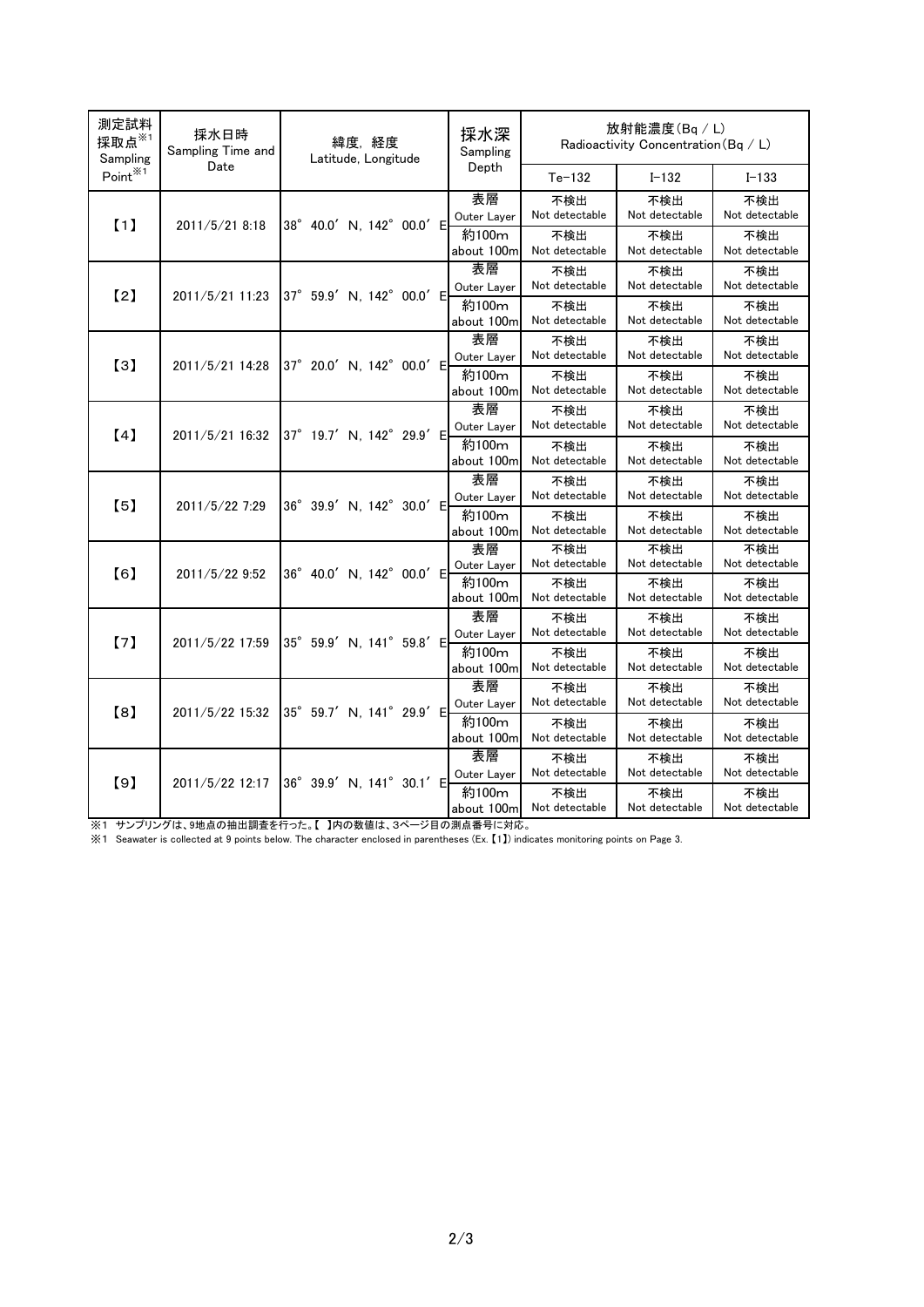| 測定試料<br>採取点 $*$<br>Sampling | 採水日時<br>Sampling Time and | 緯度,経度<br>Latitude, Longitude | 採水深<br>Sampling      | 放射能濃度(Bq / L)<br>Radioactivity Concentration (Bq / L) |                       |                       |
|-----------------------------|---------------------------|------------------------------|----------------------|-------------------------------------------------------|-----------------------|-----------------------|
| Point <sup>*1</sup>         | Date                      |                              | Depth                | $Te-132$                                              | $I - 132$             | $I - 133$             |
| [1]                         | 2011/5/21 8:18            | 38° 40.0' N, 142° 00.0' E    | 表層<br>Outer Layer    | 不検出<br>Not detectable                                 | 不検出<br>Not detectable | 不検出<br>Not detectable |
|                             |                           |                              | 約100m<br>about 100m  | 不検出<br>Not detectable                                 | 不検出<br>Not detectable | 不検出<br>Not detectable |
| $\left[2\right]$            | 2011/5/21 11:23           | 37° 59.9' N, 142° 00.0' E    | 表層<br>Outer Layer    | 不検出<br>Not detectable                                 | 不検出<br>Not detectable | 不検出<br>Not detectable |
|                             |                           |                              | 約100m<br>about 100m  | 不検出<br>Not detectable                                 | 不検出<br>Not detectable | 不検出<br>Not detectable |
| [3]                         | 2011/5/21 14:28           | 37° 20.0' N, 142° 00.0' E    | 表層<br>Outer Layer    | 不検出<br>Not detectable                                 | 不検出<br>Not detectable | 不検出<br>Not detectable |
|                             |                           |                              | 約100m<br>about 100m  | 不検出<br>Not detectable                                 | 不検出<br>Not detectable | 不検出<br>Not detectable |
| (4)                         | 2011/5/21 16:32           | 37° 19.7' N, 142° 29.9' E    | 表層<br>Outer Layer    | 不検出<br>Not detectable                                 | 不検出<br>Not detectable | 不検出<br>Not detectable |
|                             |                           |                              | 約100m<br>about 100m  | 不検出<br>Not detectable                                 | 不検出<br>Not detectable | 不検出<br>Not detectable |
| [5]                         | 2011/5/22 7:29            | 36° 39.9' N, 142° 30.0' E    | 表層<br>Outer Layer    | 不検出<br>Not detectable                                 | 不検出<br>Not detectable | 不検出<br>Not detectable |
|                             |                           |                              | 約100m<br>about 100m  | 不検出<br>Not detectable                                 | 不検出<br>Not detectable | 不検出<br>Not detectable |
| [6]                         | 2011/5/22 9:52            | 36° 40.0' N, 142° 00.0' E    | 表層<br>Outer Layer    | 不検出<br>Not detectable                                 | 不検出<br>Not detectable | 不検出<br>Not detectable |
|                             |                           |                              | 約100m<br>about 100m  | 不検出<br>Not detectable                                 | 不検出<br>Not detectable | 不検出<br>Not detectable |
| (7)                         | 2011/5/22 17:59           | 35° 59.9' N, 141° 59.8' E    | 表層<br>Outer Layer    | 不検出<br>Not detectable                                 | 不検出<br>Not detectable | 不検出<br>Not detectable |
|                             |                           |                              | 約100m<br>about 100m  | 不検出<br>Not detectable                                 | 不検出<br>Not detectable | 不検出<br>Not detectable |
| [8]                         | 2011/5/22 15:32           | 35° 59.7' N, 141° 29.9' E    | 表層<br>Outer Layer    | 不検出<br>Not detectable                                 | 不検出<br>Not detectable | 不検出<br>Not detectable |
|                             |                           |                              | 約100m<br>about 100m  | 不検出<br>Not detectable                                 | 不検出<br>Not detectable | 不検出<br>Not detectable |
| [9]                         | 2011/5/22 12:17           |                              | 表層<br>Outer Layer    | 不検出<br>Not detectable                                 | 不検出<br>Not detectable | 不検出<br>Not detectable |
|                             |                           | 36° 39.9' N, 141° 30.1' E    | 約100m<br>about 100ml | 不検出<br>Not detectable                                 | 不検出<br>Not detectable | 不検出<br>Not detectable |

※1 サンプリングは、9地点の抽出調査を行った。【 】内の数値は、3ページ目の測点番号に対応。

※1 Seawater is collected at 9 points below. The character enclosed in parentheses (Ex. 【1】) indicates monitoring points on Page 3.